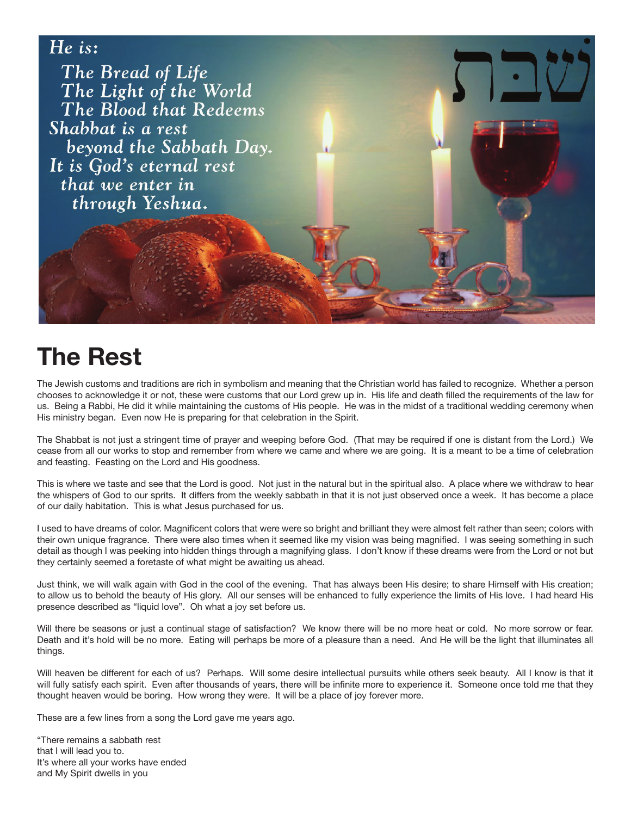

## **The Rest**

The Jewish customs and traditions are rich in symbolism and meaning that the Christian world has failed to recognize. Whether a person chooses to acknowledge it or not, these were customs that our Lord grew up in. His life and death filled the requirements of the law for us. Being a Rabbi, He did it while maintaining the customs of His people. He was in the midst of a traditional wedding ceremony when His ministry began. Even now He is preparing for that celebration in the Spirit.

The Shabbat is not just a stringent time of prayer and weeping before God. (That may be required if one is distant from the Lord.) We cease from all our works to stop and remember from where we came and where we are going. It is a meant to be a time of celebration and feasting. Feasting on the Lord and His goodness.

This is where we taste and see that the Lord is good. Not just in the natural but in the spiritual also. A place where we withdraw to hear the whispers of God to our sprits. It differs from the weekly sabbath in that it is not just observed once a week. It has become a place of our daily habitation. This is what Jesus purchased for us.

I used to have dreams of color. Magnificent colors that were were so bright and brilliant they were almost felt rather than seen; colors with their own unique fragrance. There were also times when it seemed like my vision was being magnified. I was seeing something in such detail as though I was peeking into hidden things through a magnifying glass. I don't know if these dreams were from the Lord or not but they certainly seemed a foretaste of what might be awaiting us ahead.

Just think, we will walk again with God in the cool of the evening. That has always been His desire; to share Himself with His creation; to allow us to behold the beauty of His glory. All our senses will be enhanced to fully experience the limits of His love. I had heard His presence described as "liquid love". Oh what a joy set before us.

Will there be seasons or just a continual stage of satisfaction? We know there will be no more heat or cold. No more sorrow or fear. Death and it's hold will be no more. Eating will perhaps be more of a pleasure than a need. And He will be the light that illuminates all things.

Will heaven be different for each of us? Perhaps. Will some desire intellectual pursuits while others seek beauty. All I know is that it will fully satisfy each spirit. Even after thousands of years, there will be infinite more to experience it. Someone once told me that they thought heaven would be boring. How wrong they were. It will be a place of joy forever more.

These are a few lines from a song the Lord gave me years ago.

"There remains a sabbath rest that I will lead you to. It's where all your works have ended and My Spirit dwells in you